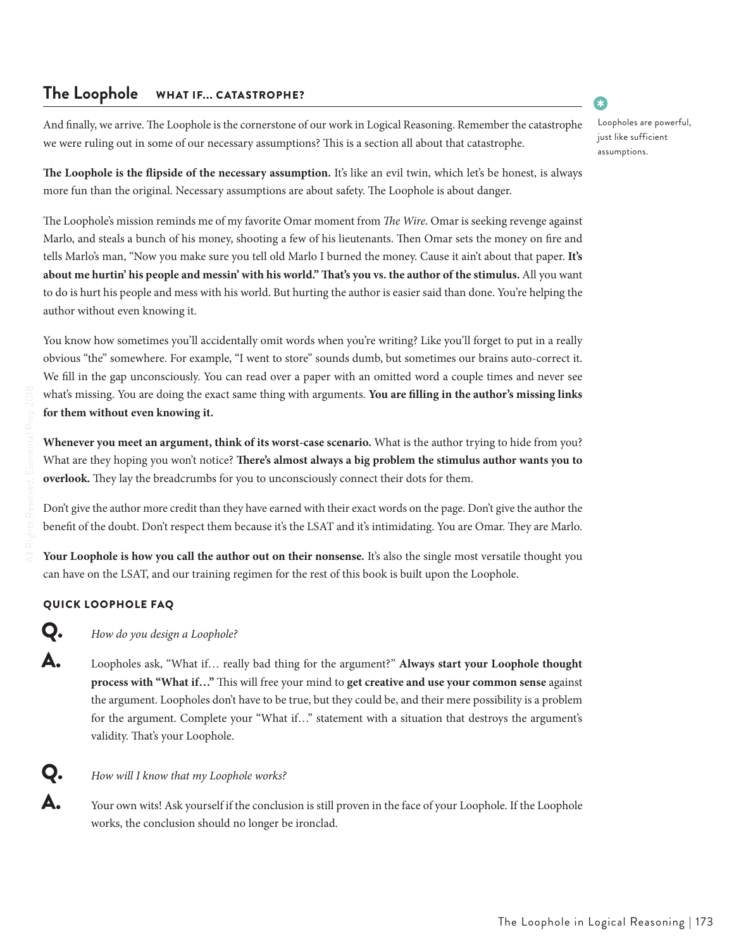## **The Loophole** WHAT IF... CATASTROPHE?

And finally, we arrive. The Loophole is the cornerstone of our work in Logical Reasoning. Remember the catastrophe we were ruling out in some of our necessary assumptions? This is a section all about that catastrophe.

**The Loophole is the flipside of the necessary assumption.** It's like an evil twin, which let's be honest, is always more fun than the original. Necessary assumptions are about safety. The Loophole is about danger.

The Loophole's mission reminds me of my favorite Omar moment from *The Wire*. Omar is seeking revenge against Marlo, and steals a bunch of his money, shooting a few of his lieutenants. Then Omar sets the money on fire and tells Marlo's man, "Now you make sure you tell old Marlo I burned the money. Cause it ain't about that paper. **It's about me hurtin' his people and messin' with his world." That's you vs. the author of the stimulus.** All you want to do is hurt his people and mess with his world. But hurting the author is easier said than done. You're helping the author without even knowing it.

You know how sometimes you'll accidentally omit words when you're writing? Like you'll forget to put in a really obvious "the" somewhere. For example, "I went to store" sounds dumb, but sometimes our brains auto-correct it. We fill in the gap unconsciously. You can read over a paper with an omitted word a couple times and never see what's missing. You are doing the exact same thing with arguments. **You are filling in the author's missing links for them without even knowing it.**

**Whenever you meet an argument, think of its worst-case scenario.** What is the author trying to hide from you? What are they hoping you won't notice? **There's almost always a big problem the stimulus author wants you to overlook.** They lay the breadcrumbs for you to unconsciously connect their dots for them.

Don't give the author more credit than they have earned with their exact words on the page. Don't give the author the benefit of the doubt. Don't respect them because it's the LSAT and it's intimidating. You are Omar. They are Marlo.

**Your Loophole is how you call the author out on their nonsense.** It's also the single most versatile thought you can have on the LSAT, and our training regimen for the rest of this book is built upon the Loophole.

### QUICK LOOPHOLE FAQ

 $\mathbf Q_{\bullet}$  *How do you design a Loophole?* 

å Loopholes ask, "What if… really bad thing for the argument?" **Always start your Loophole thought process with "What if…"** This will free your mind to **get creative and use your common sense** against the argument. Loopholes don't have to be true, but they could be, and their mere possibility is a problem for the argument. Complete your "What if…" statement with a situation that destroys the argument's validity. That's your Loophole.

### œ *How will I know that my Loophole works?*

A. Your own wits! Ask yourself if the conclusion is still proven in the face of your Loophole. If the Loophole works, the conclusion should no longer be ironclad.

### The Loophole in Logical Reasoning | 173

•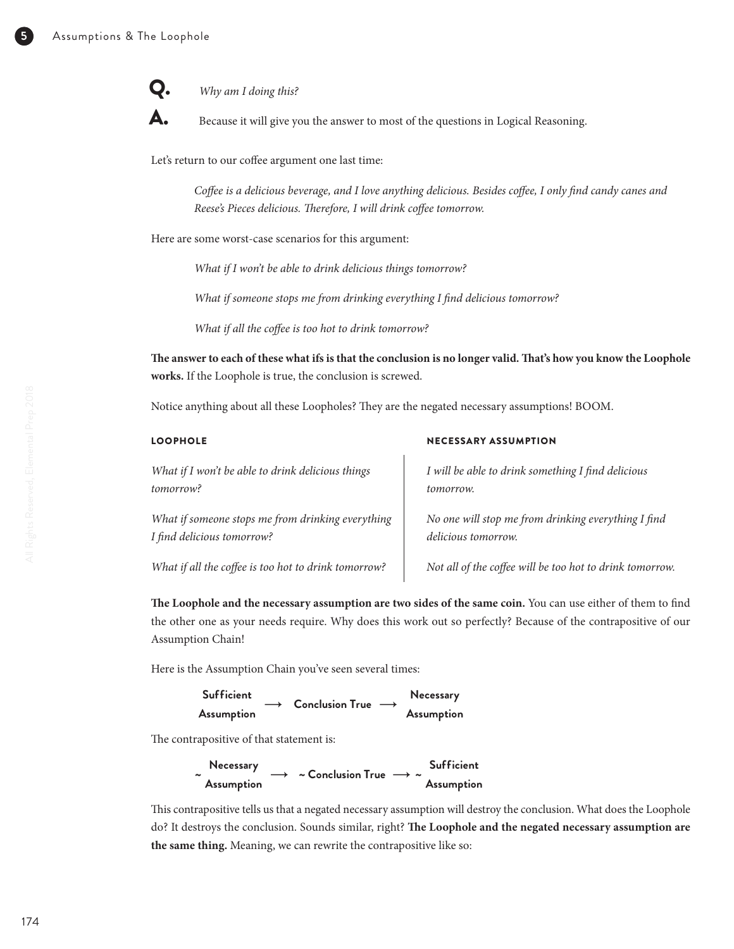œ *Why am I doing this?* 



 $\mathbf{A}$ **.** Because it will give you the answer to most of the questions in Logical Reasoning.

Let's return to our coffee argument one last time:

*Coffee is a delicious beverage, and I love anything delicious. Besides coffee, I only find candy canes and Reese's Pieces delicious. Therefore, I will drink coffee tomorrow.* 

Here are some worst-case scenarios for this argument:

*What if I won't be able to drink delicious things tomorrow?*

*What if someone stops me from drinking everything I find delicious tomorrow?*

*What if all the coffee is too hot to drink tomorrow?*

**The answer to each of these what ifs is that the conclusion is no longer valid. That's how you know the Loophole works.** If the Loophole is true, the conclusion is screwed.

Notice anything about all these Loopholes? They are the negated necessary assumptions! BOOM.

| <b>LOOPHOLE</b>                                      | <b>NECESSARY ASSUMPTION</b>                              |  |  |  |
|------------------------------------------------------|----------------------------------------------------------|--|--|--|
| What if I won't be able to drink delicious things    | I will be able to drink something I find delicious       |  |  |  |
| tomorrow?                                            | tomorrow.                                                |  |  |  |
| What if someone stops me from drinking everything    | No one will stop me from drinking everything I find      |  |  |  |
| I find delicious tomorrow?                           | delicious tomorrow.                                      |  |  |  |
| What if all the coffee is too hot to drink tomorrow? | Not all of the coffee will be too hot to drink tomorrow. |  |  |  |

**The Loophole and the necessary assumption are two sides of the same coin.** You can use either of them to find the other one as your needs require. Why does this work out so perfectly? Because of the contrapositive of our Assumption Chain!

Here is the Assumption Chain you've seen several times:

| Sufficient |  | $\rightarrow$ Conclusion True $\rightarrow$ |  | Necessary  |
|------------|--|---------------------------------------------|--|------------|
| Assumption |  |                                             |  | Assumption |

The contrapositive of that statement is:

s seul

|                       | Necessary  |  | $\rightarrow$ ~ Conclusion True $\rightarrow \sim$ |  | <b>Sufficient</b> |
|-----------------------|------------|--|----------------------------------------------------|--|-------------------|
| $\tilde{\phantom{a}}$ | Assumption |  |                                                    |  | Assumption        |

This contrapositive tells us that a negated necessary assumption will destroy the conclusion. What does the Loophole do? It destroys the conclusion. Sounds similar, right? **The Loophole and the negated necessary assumption are the same thing.** Meaning, we can rewrite the contrapositive like so: